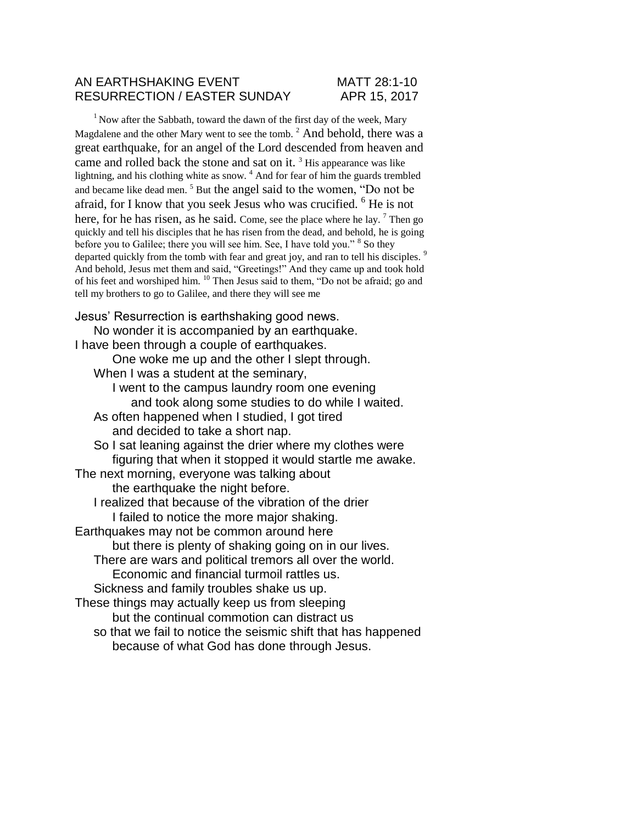#### AN EARTHSHAKING EVENT MATT 28:1-10 RESURRECTION / EASTER SUNDAY APR 15, 2017

 $1$  Now after the Sabbath, toward the dawn of the first day of the week, Mary Magdalene and the other Mary went to see the tomb. <sup>2</sup> And behold, there was a great earthquake, for an angel of the Lord descended from heaven and came and rolled back the stone and sat on it.  $3$  His appearance was like lightning, and his clothing white as snow. <sup>4</sup> And for fear of him the guards trembled and became like dead men.<sup>5</sup> But the angel said to the women, "Do not be afraid, for I know that you seek Jesus who was crucified. <sup>6</sup> He is not here, for he has risen, as he said. Come, see the place where he lay.  $^7$  Then go quickly and tell his disciples that he has risen from the dead, and behold, he is going before you to Galilee; there you will see him. See, I have told you." <sup>8</sup> So they departed quickly from the tomb with fear and great joy, and ran to tell his disciples.<sup>9</sup> And behold, Jesus met them and said, "Greetings!" And they came up and took hold of his feet and worshiped him. <sup>10</sup> Then Jesus said to them, "Do not be afraid; go and tell my brothers to go to Galilee, and there they will see me

Jesus' Resurrection is earthshaking good news.

No wonder it is accompanied by an earthquake. I have been through a couple of earthquakes.

One woke me up and the other I slept through.

When I was a student at the seminary,

I went to the campus laundry room one evening

and took along some studies to do while I waited.

As often happened when I studied, I got tired and decided to take a short nap.

So I sat leaning against the drier where my clothes were figuring that when it stopped it would startle me awake.

The next morning, everyone was talking about the earthquake the night before.

I realized that because of the vibration of the drier I failed to notice the more major shaking.

Earthquakes may not be common around here

but there is plenty of shaking going on in our lives.

There are wars and political tremors all over the world. Economic and financial turmoil rattles us.

Sickness and family troubles shake us up.

These things may actually keep us from sleeping but the continual commotion can distract us so that we fail to notice the seismic shift that has happened

because of what God has done through Jesus.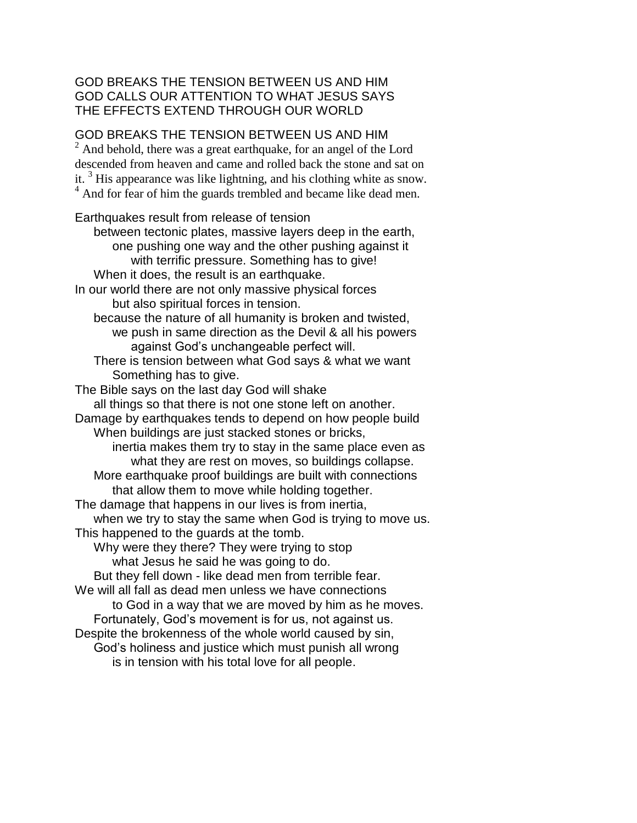# GOD BREAKS THE TENSION BETWEEN US AND HIM GOD CALLS OUR ATTENTION TO WHAT JESUS SAYS THE EFFECTS EXTEND THROUGH OUR WORLD

# GOD BREAKS THE TENSION BETWEEN US AND HIM

<sup>2</sup> And behold, there was a great earthquake, for an angel of the Lord descended from heaven and came and rolled back the stone and sat on it. <sup>3</sup> His appearance was like lightning, and his clothing white as snow. <sup>4</sup> And for fear of him the guards trembled and became like dead men.

Earthquakes result from release of tension between tectonic plates, massive layers deep in the earth, one pushing one way and the other pushing against it with terrific pressure. Something has to give! When it does, the result is an earthquake. In our world there are not only massive physical forces but also spiritual forces in tension. because the nature of all humanity is broken and twisted, we push in same direction as the Devil & all his powers against God's unchangeable perfect will. There is tension between what God says & what we want Something has to give. The Bible says on the last day God will shake all things so that there is not one stone left on another. Damage by earthquakes tends to depend on how people build When buildings are just stacked stones or bricks, inertia makes them try to stay in the same place even as what they are rest on moves, so buildings collapse. More earthquake proof buildings are built with connections that allow them to move while holding together. The damage that happens in our lives is from inertia, when we try to stay the same when God is trying to move us. This happened to the guards at the tomb. Why were they there? They were trying to stop what Jesus he said he was going to do. But they fell down - like dead men from terrible fear. We will all fall as dead men unless we have connections to God in a way that we are moved by him as he moves. Fortunately, God's movement is for us, not against us. Despite the brokenness of the whole world caused by sin, God's holiness and justice which must punish all wrong is in tension with his total love for all people.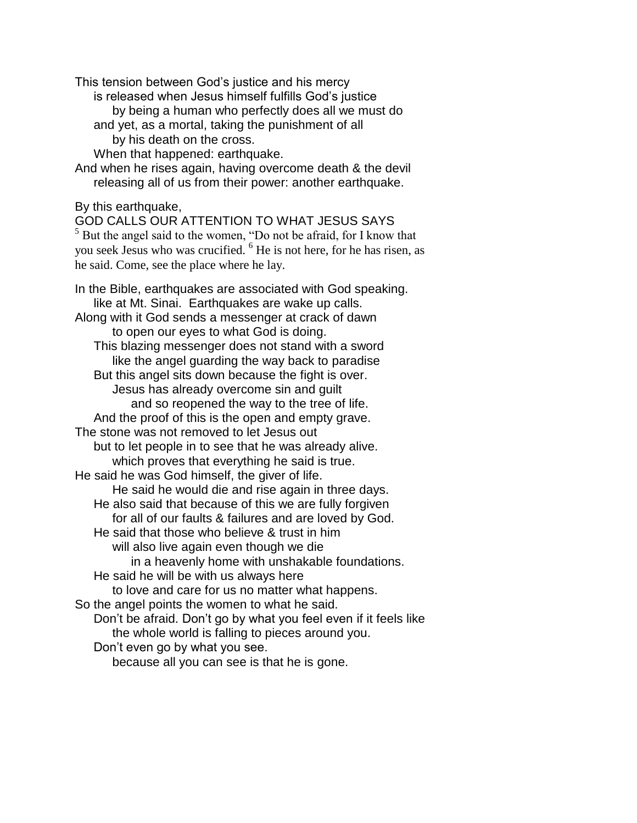This tension between God's justice and his mercy

is released when Jesus himself fulfills God's justice

- by being a human who perfectly does all we must do
- and yet, as a mortal, taking the punishment of all
	- by his death on the cross.

When that happened: earthquake.

And when he rises again, having overcome death & the devil releasing all of us from their power: another earthquake.

By this earthquake,

GOD CALLS OUR ATTENTION TO WHAT JESUS SAYS  $5$  But the angel said to the women, "Do not be afraid, for I know that you seek Jesus who was crucified. <sup>6</sup> He is not here, for he has risen, as he said. Come, see the place where he lay.

In the Bible, earthquakes are associated with God speaking. like at Mt. Sinai. Earthquakes are wake up calls. Along with it God sends a messenger at crack of dawn to open our eyes to what God is doing. This blazing messenger does not stand with a sword like the angel guarding the way back to paradise But this angel sits down because the fight is over. Jesus has already overcome sin and guilt and so reopened the way to the tree of life. And the proof of this is the open and empty grave. The stone was not removed to let Jesus out but to let people in to see that he was already alive. which proves that everything he said is true. He said he was God himself, the giver of life. He said he would die and rise again in three days. He also said that because of this we are fully forgiven for all of our faults & failures and are loved by God. He said that those who believe & trust in him will also live again even though we die in a heavenly home with unshakable foundations. He said he will be with us always here to love and care for us no matter what happens. So the angel points the women to what he said. Don't be afraid. Don't go by what you feel even if it feels like the whole world is falling to pieces around you. Don't even go by what you see. because all you can see is that he is gone.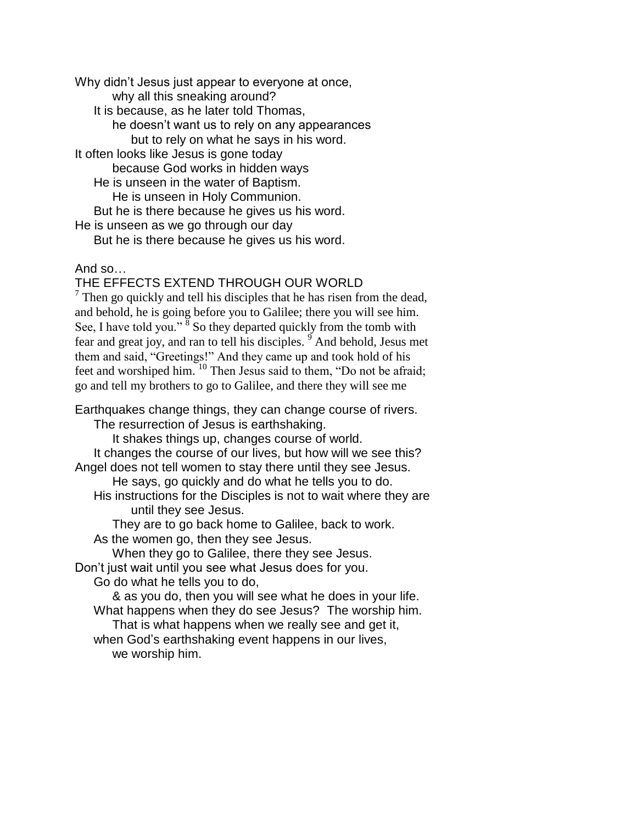Why didn't Jesus just appear to everyone at once, why all this sneaking around? It is because, as he later told Thomas, he doesn't want us to rely on any appearances but to rely on what he says in his word. It often looks like Jesus is gone today because God works in hidden ways He is unseen in the water of Baptism. He is unseen in Holy Communion. But he is there because he gives us his word. He is unseen as we go through our day But he is there because he gives us his word.

## And so…

## THE EFFECTS EXTEND THROUGH OUR WORLD

 $7$  Then go quickly and tell his disciples that he has risen from the dead, and behold, he is going before you to Galilee; there you will see him. See, I have told you."  $\frac{8}{8}$  So they departed quickly from the tomb with fear and great joy, and ran to tell his disciples.  $\frac{9}{9}$  And behold, Jesus met them and said, "Greetings!" And they came up and took hold of his feet and worshiped him. <sup>10</sup> Then Jesus said to them, "Do not be afraid; go and tell my brothers to go to Galilee, and there they will see me

Earthquakes change things, they can change course of rivers. The resurrection of Jesus is earthshaking. It shakes things up, changes course of world. It changes the course of our lives, but how will we see this? Angel does not tell women to stay there until they see Jesus. He says, go quickly and do what he tells you to do. His instructions for the Disciples is not to wait where they are until they see Jesus. They are to go back home to Galilee, back to work. As the women go, then they see Jesus. When they go to Galilee, there they see Jesus. Don't just wait until you see what Jesus does for you. Go do what he tells you to do, & as you do, then you will see what he does in your life. What happens when they do see Jesus? The worship him. That is what happens when we really see and get it, when God's earthshaking event happens in our lives, we worship him.